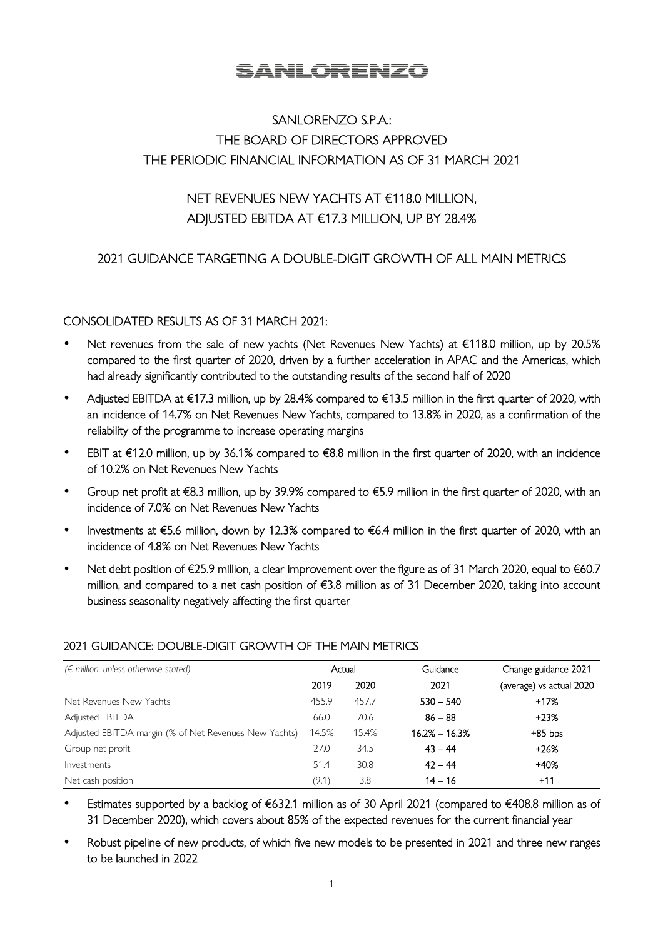# <u>SANLORENZO</u>

## SANLORENZO S.P.A.: THE BOARD OF DIRECTORS APPROVED THE PERIODIC FINANCIAL INFORMATION AS OF 31 MARCH 2021

## NET REVENUES NEW YACHTS AT €118.0 MILLION, ADJUSTED EBITDA AT €17.3 MILLION, UP BY 28.4%

## 2021 GUIDANCE TARGETING A DOUBLE-DIGIT GROWTH OF ALL MAIN METRICS

#### CONSOLIDATED RESULTS AS OF 31 MARCH 2021:

- Net revenues from the sale of new yachts (Net Revenues New Yachts) at €118.0 million, up by 20.5% compared to the first quarter of 2020, driven by a further acceleration in APAC and the Americas, which had already significantly contributed to the outstanding results of the second half of 2020
- Adjusted EBITDA at €17.3 million, up by 28.4% compared to €13.5 million in the first quarter of 2020, with an incidence of 14.7% on Net Revenues New Yachts, compared to 13.8% in 2020, as a confirmation of the reliability of the programme to increase operating margins
- EBIT at €12.0 million, up by 36.1% compared to €8.8 million in the first quarter of 2020, with an incidence of 10.2% on Net Revenues New Yachts
- Group net profit at €8.3 million, up by 39.9% compared to €5.9 million in the first quarter of 2020, with an incidence of 7.0% on Net Revenues New Yachts
- Investments at €5.6 million, down by 12.3% compared to €6.4 million in the first quarter of 2020, with an incidence of 4.8% on Net Revenues New Yachts
- Net debt position of €25.9 million, a clear improvement over the figure as of 31 March 2020, equal to €60.7 million, and compared to a net cash position of €3.8 million as of 31 December 2020, taking into account business seasonality negatively affecting the first quarter

| $(\epsilon$ million, unless otherwise stated)         |       | Actual | Guidance        | Change guidance 2021     |  |
|-------------------------------------------------------|-------|--------|-----------------|--------------------------|--|
|                                                       | 2019  | 2020   | 2021            | (average) vs actual 2020 |  |
| Net Revenues New Yachts                               | 455.9 | 457.7  | $530 - 540$     | +17%                     |  |
| Adjusted EBITDA                                       | 66.0  | 70.6   | $86 - 88$       | $+23%$                   |  |
| Adjusted EBITDA margin (% of Net Revenues New Yachts) | 14.5% | 15.4%  | $16.2% - 16.3%$ | $+85$ bps                |  |
| Group net profit                                      | 27.0  | 34.5   | $43 - 44$       | $+26%$                   |  |
| Investments                                           | 51.4  | 30.8   | $42 - 44$       | $+40%$                   |  |
| Net cash position                                     | (9.1) | 3.8    | $14 - 16$       | $+11$                    |  |

### 2021 GUIDANCE: DOUBLE-DIGIT GROWTH OF THE MAIN METRICS

- Estimates supported by a backlog of €632.1 million as of 30 April 2021 (compared to €408.8 million as of 31 December 2020), which covers about 85% of the expected revenues for the current financial year
- Robust pipeline of new products, of which five new models to be presented in 2021 and three new ranges to be launched in 2022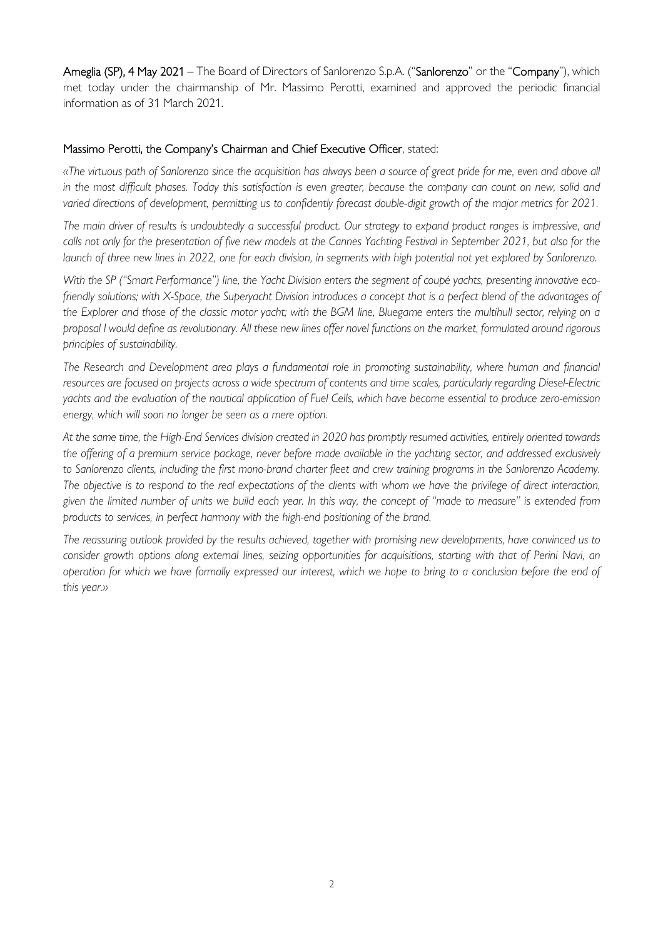Ameglia (SP), 4 May 2021 – The Board of Directors of Sanlorenzo S.p.A. ("Sanlorenzo" or the "Company"), which met today under the chairmanship of Mr. Massimo Perotti, examined and approved the periodic financial information as of 31 March 2021.

#### Massimo Perotti, the Company's Chairman and Chief Executive Officer, stated:

*«The virtuous path of Sanlorenzo since the acquisition has always been a source of great pride for me, even and above all in the most difficult phases. Today this satisfaction is even greater, because the company can count on new, solid and varied directions of development, permitting us to confidently forecast double-digit growth of the major metrics for 2021.* 

*The main driver of results is undoubtedly a successful product. Our strategy to expand product ranges is impressive, and calls not only for the presentation of five new models at the Cannes Yachting Festival in September 2021, but also for the launch of three new lines in 2022, one for each division, in segments with high potential not yet explored by Sanlorenzo.* 

*With the SP ("Smart Performance") line, the Yacht Division enters the segment of coupé yachts, presenting innovative ecofriendly solutions; with X-Space, the Superyacht Division introduces a concept that is a perfect blend of the advantages of the Explorer and those of the classic motor yacht; with the BGM line, Bluegame enters the multihull sector, relying on a proposal I would define as revolutionary. All these new lines offer novel functions on the market, formulated around rigorous principles of sustainability.* 

*The Research and Development area plays a fundamental role in promoting sustainability, where human and financial resources are focused on projects across a wide spectrum of contents and time scales, particularly regarding Diesel-Electric yachts and the evaluation of the nautical application of Fuel Cells, which have become essential to produce zero-emission energy, which will soon no longer be seen as a mere option.* 

*At the same time, the High-End Services division created in 2020 has promptly resumed activities, entirely oriented towards the offering of a premium service package, never before made available in the yachting sector, and addressed exclusively to Sanlorenzo clients, including the first mono-brand charter fleet and crew training programs in the Sanlorenzo Academy. The objective is to respond to the real expectations of the clients with whom we have the privilege of direct interaction, given the limited number of units we build each year. In this way, the concept of "made to measure" is extended from products to services, in perfect harmony with the high-end positioning of the brand.* 

*The reassuring outlook provided by the results achieved, together with promising new developments, have convinced us to consider growth options along external lines, seizing opportunities for acquisitions, starting with that of Perini Navi, an operation for which we have formally expressed our interest, which we hope to bring to a conclusion before the end of this year.»*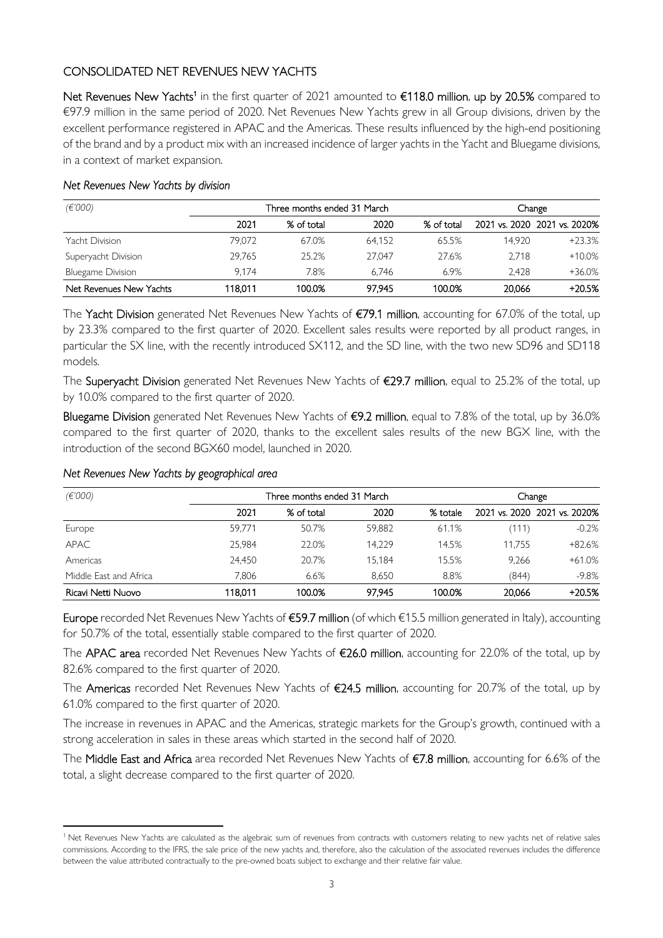### CONSOLIDATED NET REVENUES NEW YACHTS

Net Revenues New Yachts<sup>1</sup> in the first quarter of 2021 amounted to €118.0 million, up by 20.5% compared to €97.9 million in the same period of 2020. Net Revenues New Yachts grew in all Group divisions, driven by the excellent performance registered in APAC and the Americas. These results influenced by the high-end positioning of the brand and by a product mix with an increased incidence of larger yachts in the Yacht and Bluegame divisions, in a context of market expansion.

| (€'000)                  | Three months ended 31 March |            |        |            |        | Change                       |
|--------------------------|-----------------------------|------------|--------|------------|--------|------------------------------|
|                          | 2021                        | % of total | 2020   | % of total |        | 2021 vs. 2020 2021 vs. 2020% |
| Yacht Division           | 79.072                      | 67.0%      | 64.152 | 65.5%      | 14.920 | $+23.3%$                     |
| Superyacht Division      | 29.765                      | 25.2%      | 27.047 | 27.6%      | 2.718  | $+10.0%$                     |
| <b>Bluegame Division</b> | 9.174                       | 7.8%       | 6.746  | 6.9%       | 2.428  | $+36.0%$                     |
| Net Revenues New Yachts  | 118.011                     | 100.0%     | 97.945 | 100.0%     | 20,066 | $+20.5%$                     |

#### *Net Revenues New Yachts by division*

The Yacht Division generated Net Revenues New Yachts of €79.1 million, accounting for 67.0% of the total, up by 23.3% compared to the first quarter of 2020. Excellent sales results were reported by all product ranges, in particular the SX line, with the recently introduced SX112, and the SD line, with the two new SD96 and SD118 models.

The Superyacht Division generated Net Revenues New Yachts of €29.7 million, equal to 25.2% of the total, up by 10.0% compared to the first quarter of 2020.

Bluegame Division generated Net Revenues New Yachts of €9.2 million, equal to 7.8% of the total, up by 36.0% compared to the first quarter of 2020, thanks to the excellent sales results of the new BGX line, with the introduction of the second BGX60 model, launched in 2020.

| (E'000)<br>Three months ended 31 March |         |            | Change |          |        |                              |
|----------------------------------------|---------|------------|--------|----------|--------|------------------------------|
|                                        | 2021    | % of total | 2020   | % totale |        | 2021 vs. 2020 2021 vs. 2020% |
| Europe                                 | 59.771  | 50.7%      | 59.882 | 61.1%    | (111)  | $-0.2\%$                     |
| <b>APAC</b>                            | 25.984  | 22.0%      | 14.229 | 14.5%    | 11.755 | $+82.6%$                     |
| Americas                               | 24.450  | 20.7%      | 15.184 | 15.5%    | 9.266  | $+61.0%$                     |
| Middle East and Africa                 | 7.806   | 6.6%       | 8.650  | 8.8%     | (844)  | $-9.8\%$                     |
| Ricavi Netti Nuovo                     | 118.011 | 100.0%     | 97.945 | 100.0%   | 20.066 | $+20.5%$                     |

#### *Net Revenues New Yachts by geographical area*

Europe recorded Net Revenues New Yachts of €59.7 million (of which €15.5 million generated in Italy), accounting for 50.7% of the total, essentially stable compared to the first quarter of 2020.

The APAC area recorded Net Revenues New Yachts of €26.0 million, accounting for 22.0% of the total, up by 82.6% compared to the first quarter of 2020.

The Americas recorded Net Revenues New Yachts of €24.5 million, accounting for 20.7% of the total, up by 61.0% compared to the first quarter of 2020.

The increase in revenues in APAC and the Americas, strategic markets for the Group's growth, continued with a strong acceleration in sales in these areas which started in the second half of 2020.

The Middle East and Africa area recorded Net Revenues New Yachts of €7.8 million, accounting for 6.6% of the total, a slight decrease compared to the first quarter of 2020.

<sup>&</sup>lt;sup>1</sup> Net Revenues New Yachts are calculated as the algebraic sum of revenues from contracts with customers relating to new yachts net of relative sales commissions. According to the IFRS, the sale price of the new yachts and, therefore, also the calculation of the associated revenues includes the difference between the value attributed contractually to the pre-owned boats subject to exchange and their relative fair value.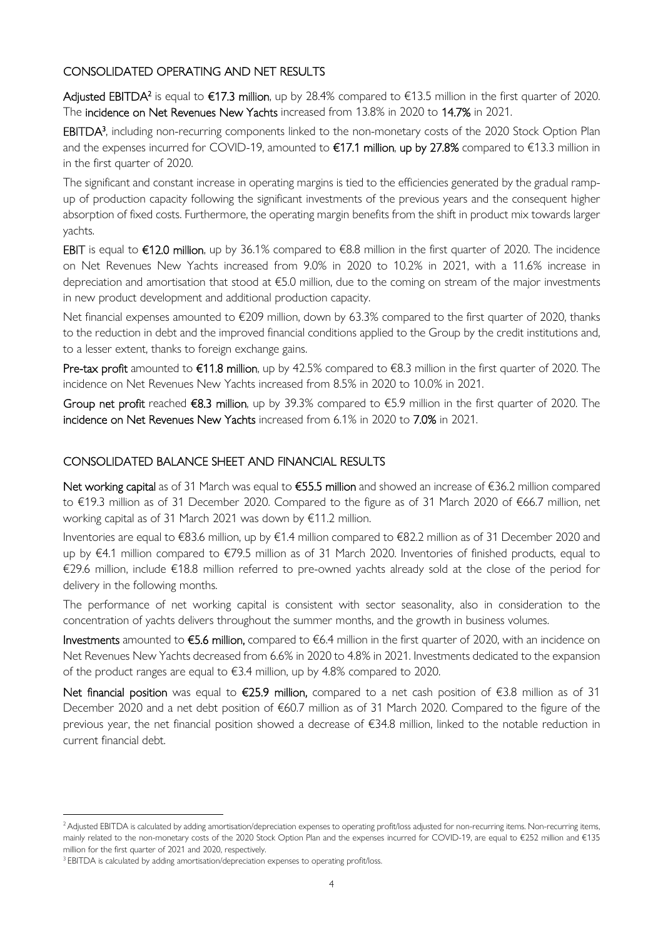### CONSOLIDATED OPERATING AND NET RESULTS

**Adjusted EBITDA<sup>2</sup> is equal to €17.3 million**, up by 28.4% compared to €13.5 million in the first quarter of 2020. The incidence on Net Revenues New Yachts increased from 13.8% in 2020 to 14.7% in 2021.

EBITDA<sup>3</sup>, including non-recurring components linked to the non-monetary costs of the 2020 Stock Option Plan and the expenses incurred for COVID-19, amounted to €17.1 million, up by 27.8% compared to €13.3 million in in the first quarter of 2020.

The significant and constant increase in operating margins is tied to the efficiencies generated by the gradual rampup of production capacity following the significant investments of the previous years and the consequent higher absorption of fixed costs. Furthermore, the operating margin benefits from the shift in product mix towards larger yachts.

EBIT is equal to €12.0 million, up by 36.1% compared to €8.8 million in the first quarter of 2020. The incidence on Net Revenues New Yachts increased from 9.0% in 2020 to 10.2% in 2021, with a 11.6% increase in depreciation and amortisation that stood at €5.0 million, due to the coming on stream of the major investments in new product development and additional production capacity.

Net financial expenses amounted to €209 million, down by 63.3% compared to the first quarter of 2020, thanks to the reduction in debt and the improved financial conditions applied to the Group by the credit institutions and, to a lesser extent, thanks to foreign exchange gains.

Pre-tax profit amounted to  $\epsilon$ 11.8 million, up by 42.5% compared to  $\epsilon$ 8.3 million in the first quarter of 2020. The incidence on Net Revenues New Yachts increased from 8.5% in 2020 to 10.0% in 2021.

Group net profit reached €8.3 million, up by 39.3% compared to €5.9 million in the first quarter of 2020. The incidence on Net Revenues New Yachts increased from 6.1% in 2020 to 7.0% in 2021.

### CONSOLIDATED BALANCE SHEET AND FINANCIAL RESULTS

Net working capital as of 31 March was equal to €55.5 million and showed an increase of €36.2 million compared to €19.3 million as of 31 December 2020. Compared to the figure as of 31 March 2020 of €66.7 million, net working capital as of 31 March 2021 was down by €11.2 million.

Inventories are equal to €83.6 million, up by €1.4 million compared to €82.2 million as of 31 December 2020 and up by €4.1 million compared to €79.5 million as of 31 March 2020. Inventories of finished products, equal to €29.6 million, include €18.8 million referred to pre-owned yachts already sold at the close of the period for delivery in the following months.

The performance of net working capital is consistent with sector seasonality, also in consideration to the concentration of yachts delivers throughout the summer months, and the growth in business volumes.

Investments amounted to €5.6 million, compared to €6.4 million in the first quarter of 2020, with an incidence on Net Revenues New Yachts decreased from 6.6% in 2020 to 4.8% in 2021. Investments dedicated to the expansion of the product ranges are equal to €3.4 million, up by 4.8% compared to 2020.

Net financial position was equal to €25.9 million, compared to a net cash position of €3.8 million as of 31 December 2020 and a net debt position of €60.7 million as of 31 March 2020. Compared to the figure of the previous year, the net financial position showed a decrease of €34.8 million, linked to the notable reduction in current financial debt.

<sup>&</sup>lt;sup>2</sup> Adjusted EBITDA is calculated by adding amortisation/depreciation expenses to operating profit/loss adjusted for non-recurring items. Non-recurring items, mainly related to the non-monetary costs of the 2020 Stock Option Plan and the expenses incurred for COVID-19, are equal to €252 million and €135 million for the first quarter of 2021 and 2020, respectively.

<sup>&</sup>lt;sup>3</sup> EBITDA is calculated by adding amortisation/depreciation expenses to operating profit/loss.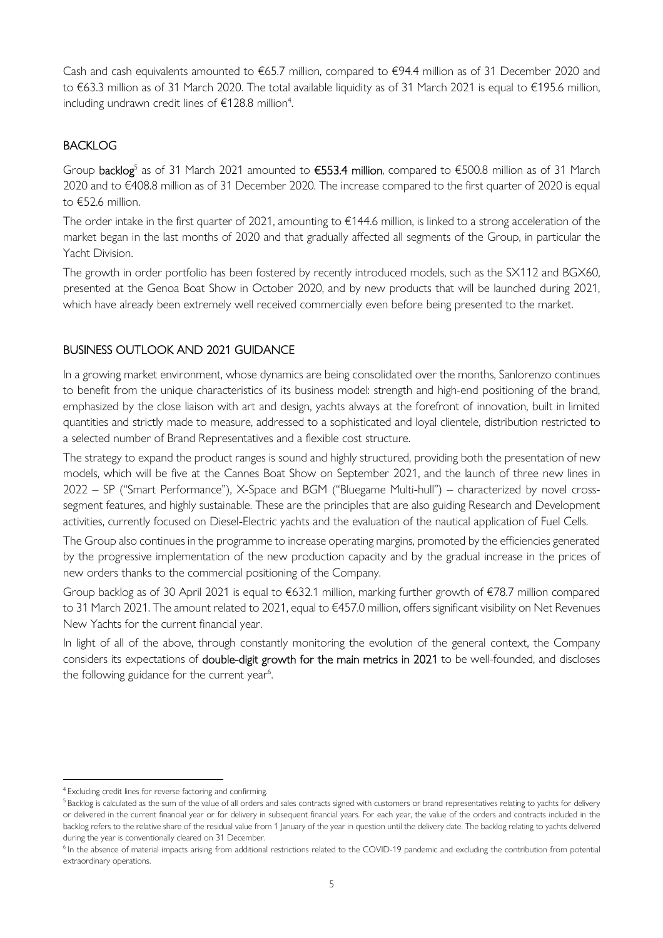Cash and cash equivalents amounted to €65.7 million, compared to €94.4 million as of 31 December 2020 and to €63.3 million as of 31 March 2020. The total available liquidity as of 31 March 2021 is equal to €195.6 million, including undrawn credit lines of  $\epsilon$ 128.8 million<sup>4</sup>.

### **BACKLOG**

Group backlog<sup>5</sup> as of 31 March 2021 amounted to €553.4 million, compared to €500.8 million as of 31 March 2020 and to €408.8 million as of 31 December 2020. The increase compared to the first quarter of 2020 is equal to €52.6 million.

The order intake in the first quarter of 2021, amounting to €144.6 million, is linked to a strong acceleration of the market began in the last months of 2020 and that gradually affected all segments of the Group, in particular the Yacht Division.

The growth in order portfolio has been fostered by recently introduced models, such as the SX112 and BGX60, presented at the Genoa Boat Show in October 2020, and by new products that will be launched during 2021, which have already been extremely well received commercially even before being presented to the market.

### BUSINESS OUTLOOK AND 2021 GUIDANCE

In a growing market environment, whose dynamics are being consolidated over the months, Sanlorenzo continues to benefit from the unique characteristics of its business model: strength and high-end positioning of the brand, emphasized by the close liaison with art and design, yachts always at the forefront of innovation, built in limited quantities and strictly made to measure, addressed to a sophisticated and loyal clientele, distribution restricted to a selected number of Brand Representatives and a flexible cost structure.

The strategy to expand the product ranges is sound and highly structured, providing both the presentation of new models, which will be five at the Cannes Boat Show on September 2021, and the launch of three new lines in 2022 – SP ("Smart Performance"), X-Space and BGM ("Bluegame Multi-hull") – characterized by novel crosssegment features, and highly sustainable. These are the principles that are also guiding Research and Development activities, currently focused on Diesel-Electric yachts and the evaluation of the nautical application of Fuel Cells.

The Group also continues in the programme to increase operating margins, promoted by the efficiencies generated by the progressive implementation of the new production capacity and by the gradual increase in the prices of new orders thanks to the commercial positioning of the Company.

Group backlog as of 30 April 2021 is equal to €632.1 million, marking further growth of €78.7 million compared to 31 March 2021. The amount related to 2021, equal to €457.0 million, offers significant visibility on Net Revenues New Yachts for the current financial year.

In light of all of the above, through constantly monitoring the evolution of the general context, the Company considers its expectations of double-digit growth for the main metrics in 2021 to be well-founded, and discloses the following guidance for the current year<sup>6</sup>.

<sup>4</sup>Excluding credit lines for reverse factoring and confirming.

<sup>&</sup>lt;sup>5</sup>Backlog is calculated as the sum of the value of all orders and sales contracts signed with customers or brand representatives relating to yachts for delivery or delivered in the current financial year or for delivery in subsequent financial years. For each year, the value of the orders and contracts included in the backlog refers to the relative share of the residual value from 1 January of the year in question until the delivery date. The backlog relating to yachts delivered during the year is conventionally cleared on 31 December.

<sup>&</sup>lt;sup>6</sup> In the absence of material impacts arising from additional restrictions related to the COVID-19 pandemic and excluding the contribution from potential extraordinary operations.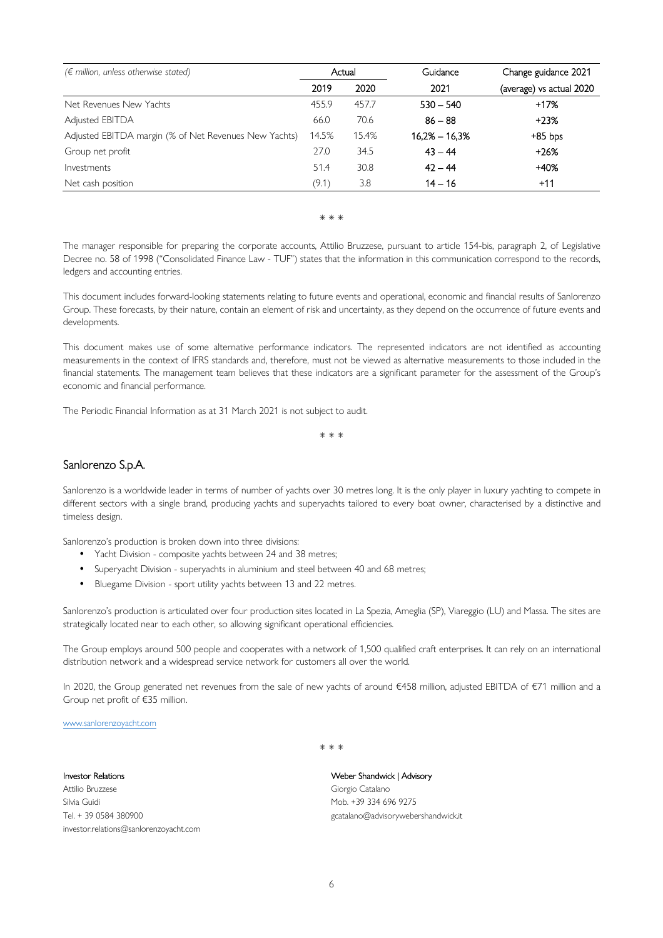| $(\epsilon$ million, unless otherwise stated)         |       | Actual | Guidance        | Change guidance 2021     |
|-------------------------------------------------------|-------|--------|-----------------|--------------------------|
|                                                       | 2019  | 2020   | 2021            | (average) vs actual 2020 |
| Net Revenues New Yachts                               | 455.9 | 457.7  | $530 - 540$     | +17%                     |
| Adjusted EBITDA                                       | 66.0  | 70.6   | $86 - 88$       | $+23%$                   |
| Adjusted EBITDA margin (% of Net Revenues New Yachts) | 14.5% | 15.4%  | $16.2% - 16.3%$ | $+85$ bps                |
| Group net profit                                      | 27.0  | 34.5   | $43 - 44$       | $+26%$                   |
| Investments                                           | 51.4  | 30.8   | $42 - 44$       | $+40%$                   |
| Net cash position                                     | (9.1) | 3.8    | $14 - 16$       | $+11$                    |

#### \* \* \*

The manager responsible for preparing the corporate accounts, Attilio Bruzzese, pursuant to article 154-bis, paragraph 2, of Legislative Decree no. 58 of 1998 ("Consolidated Finance Law - TUF") states that the information in this communication correspond to the records, ledgers and accounting entries.

This document includes forward-looking statements relating to future events and operational, economic and financial results of Sanlorenzo Group. These forecasts, by their nature, contain an element of risk and uncertainty, as they depend on the occurrence of future events and developments.

This document makes use of some alternative performance indicators. The represented indicators are not identified as accounting measurements in the context of IFRS standards and, therefore, must not be viewed as alternative measurements to those included in the financial statements. The management team believes that these indicators are a significant parameter for the assessment of the Group's economic and financial performance.

The Periodic Financial Information as at 31 March 2021 is not subject to audit.

\* \* \*

#### Sanlorenzo S.p.A.

Sanlorenzo is a worldwide leader in terms of number of yachts over 30 metres long. It is the only player in luxury yachting to compete in different sectors with a single brand, producing yachts and superyachts tailored to every boat owner, characterised by a distinctive and timeless design.

Sanlorenzo's production is broken down into three divisions:

- Yacht Division composite yachts between 24 and 38 metres;
- Superyacht Division superyachts in aluminium and steel between 40 and 68 metres;
- Bluegame Division sport utility yachts between 13 and 22 metres.

Sanlorenzo's production is articulated over four production sites located in La Spezia, Ameglia (SP), Viareggio (LU) and Massa. The sites are strategically located near to each other, so allowing significant operational efficiencies.

The Group employs around 500 people and cooperates with a network of 1,500 qualified craft enterprises. It can rely on an international distribution network and a widespread service network for customers all over the world.

In 2020, the Group generated net revenues from the sale of new yachts of around €458 million, adjusted EBITDA of €71 million and a Group net profit of €35 million.

\* \* \*

www.sanlorenzoyacht.com

Investor Relations

Attilio Bruzzese Silvia Guidi Tel. + 39 0584 380900 investor.relations@sanlorenzoyacht.com Weber Shandwick | Advisory Giorgio Catalano Mob. +39 334 696 9275

gcatalano@advisorywebershandwick.it

6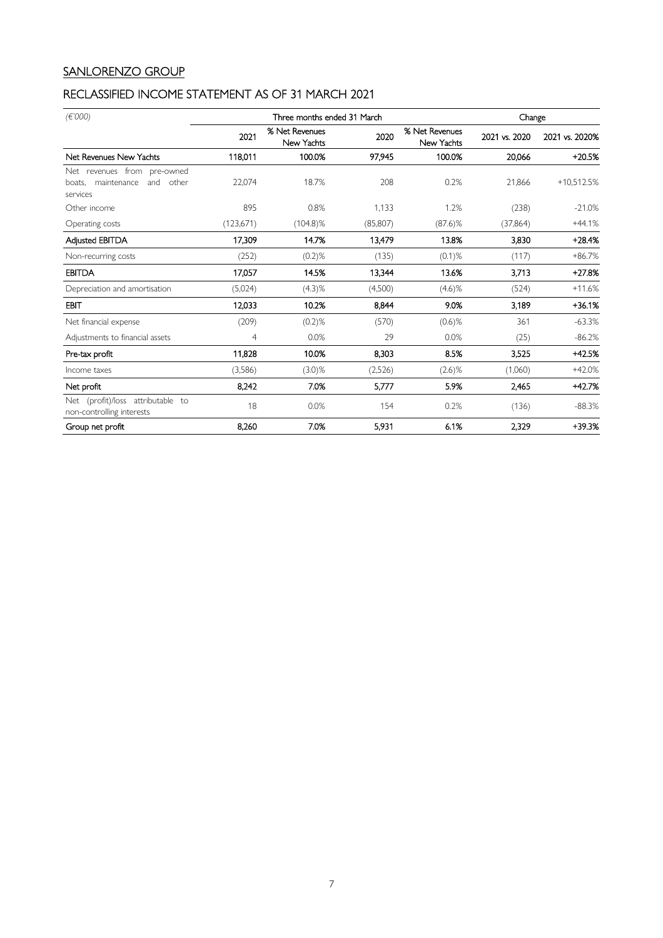## SANLORENZO GROUP

## RECLASSIFIED INCOME STATEMENT AS OF 31 MARCH 2021

| (E'000)                                                                          |           | Three months ended 31 March  |           |                              |               | Change         |
|----------------------------------------------------------------------------------|-----------|------------------------------|-----------|------------------------------|---------------|----------------|
|                                                                                  | 2021      | % Net Revenues<br>New Yachts | 2020      | % Net Revenues<br>New Yachts | 2021 vs. 2020 | 2021 vs. 2020% |
| Net Revenues New Yachts                                                          | 118,011   | 100.0%                       | 97,945    | 100.0%                       | 20,066        | $+20.5%$       |
| Net revenues from pre-owned<br>other<br>maintenance<br>and<br>boats,<br>services | 22,074    | 18.7%                        | 208       | 0.2%                         | 21,866        | $+10,512.5%$   |
| Other income                                                                     | 895       | 0.8%                         | 1.133     | 1.2%                         | (238)         | $-21.0%$       |
| Operating costs                                                                  | (123,671) | $(104.8)\%$                  | (85, 807) | $(87.6)$ %                   | (37, 864)     | $+44.1%$       |
| Adjusted EBITDA                                                                  | 17.309    | 14.7%                        | 13.479    | 13.8%                        | 3.830         | $+28.4%$       |
| Non-recurring costs                                                              | (252)     | $(0.2)$ %                    | (135)     | $(0.1)$ %                    | (117)         | $+86.7%$       |
| <b>EBITDA</b>                                                                    | 17,057    | 14.5%                        | 13,344    | 13.6%                        | 3,713         | $+27.8%$       |
| Depreciation and amortisation                                                    | (5,024)   | (4.3)%                       | (4,500)   | $(4.6)$ %                    | (524)         | $+11.6%$       |
| <b>EBIT</b>                                                                      | 12,033    | 10.2%                        | 8,844     | 9.0%                         | 3.189         | $+36.1%$       |
| Net financial expense                                                            | (209)     | $(0.2)$ %                    | (570)     | $(0.6)$ %                    | 361           | $-63.3%$       |
| Adjustments to financial assets                                                  | 4         | 0.0%                         | 29        | 0.0%                         | (25)          | $-86.2%$       |
| Pre-tax profit                                                                   | 11.828    | 10.0%                        | 8.303     | 8.5%                         | 3.525         | $+42.5%$       |
| Income taxes                                                                     | (3,586)   | $(3.0)$ %                    | (2,526)   | $(2.6)$ %                    | (1,060)       | $+42.0%$       |
| Net profit                                                                       | 8,242     | 7.0%                         | 5,777     | 5.9%                         | 2.465         | $+42.7%$       |
| (profit)/loss attributable to<br>Net<br>non-controlling interests                | 18        | 0.0%                         | 154       | 0.2%                         | (136)         | $-88.3%$       |
| Group net profit                                                                 | 8,260     | 7.0%                         | 5,931     | 6.1%                         | 2.329         | $+39.3%$       |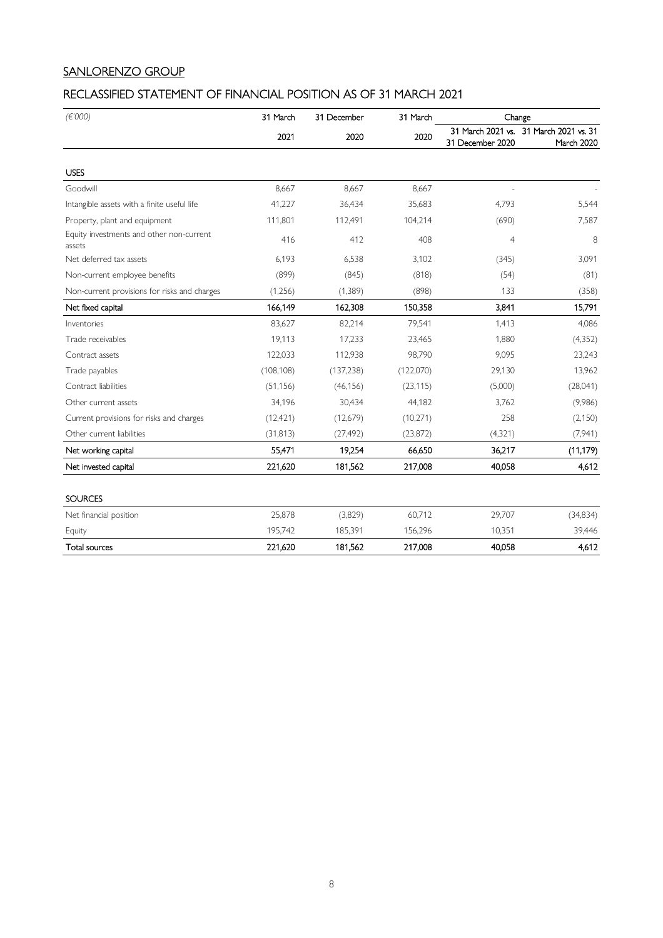## SANLORENZO GROUP

## RECLASSIFIED STATEMENT OF FINANCIAL POSITION AS OF 31 MARCH 2021

| (E'000)                                            | 31 March   | 31 December | 31 March  |                                       | Change                             |  |
|----------------------------------------------------|------------|-------------|-----------|---------------------------------------|------------------------------------|--|
|                                                    | 2021       | 2020        | 2020      | 31 March 2021 vs.<br>31 December 2020 | 31 March 2021 vs. 31<br>March 2020 |  |
| <b>USES</b>                                        |            |             |           |                                       |                                    |  |
| Goodwill                                           | 8,667      | 8,667       | 8,667     |                                       |                                    |  |
| Intangible assets with a finite useful life        | 41,227     | 36,434      | 35,683    | 4,793                                 | 5,544                              |  |
| Property, plant and equipment                      | 111,801    | 112,491     | 104,214   | (690)                                 | 7,587                              |  |
| Equity investments and other non-current<br>assets | 416        | 412         | 408       | 4                                     | 8                                  |  |
| Net deferred tax assets                            | 6,193      | 6,538       | 3,102     | (345)                                 | 3,091                              |  |
| Non-current employee benefits                      | (899)      | (845)       | (818)     | (54)                                  | (81)                               |  |
| Non-current provisions for risks and charges       | (1,256)    | (1,389)     | (898)     | 133                                   | (358)                              |  |
| Net fixed capital                                  | 166,149    | 162,308     | 150,358   | 3,841                                 | 15,791                             |  |
| Inventories                                        | 83,627     | 82,214      | 79,541    | 1,413                                 | 4,086                              |  |
| Trade receivables                                  | 19,113     | 17,233      | 23,465    | 1,880                                 | (4, 352)                           |  |
| Contract assets                                    | 122,033    | 112,938     | 98,790    | 9,095                                 | 23,243                             |  |
| Trade payables                                     | (108, 108) | (137, 238)  | (122,070) | 29,130                                | 13,962                             |  |
| Contract liabilities                               | (51, 156)  | (46, 156)   | (23, 115) | (5,000)                               | (28,041)                           |  |
| Other current assets                               | 34,196     | 30,434      | 44,182    | 3,762                                 | (9,986)                            |  |
| Current provisions for risks and charges           | (12, 421)  | (12,679)    | (10, 271) | 258                                   | (2,150)                            |  |
| Other current liabilities                          | (31, 813)  | (27, 492)   | (23, 872) | (4,321)                               | (7,941)                            |  |
| Net working capital                                | 55,471     | 19,254      | 66,650    | 36,217                                | (11, 179)                          |  |
| Net invested capital                               | 221,620    | 181,562     | 217,008   | 40,058                                | 4,612                              |  |
| <b>SOURCES</b>                                     |            |             |           |                                       |                                    |  |
| Net financial position                             | 25,878     | (3,829)     | 60,712    | 29,707                                | (34,834)                           |  |
| Equity                                             | 195,742    | 185,391     | 156,296   | 10,351                                | 39,446                             |  |
| Total sources                                      | 221,620    | 181,562     | 217,008   | 40,058                                | 4,612                              |  |